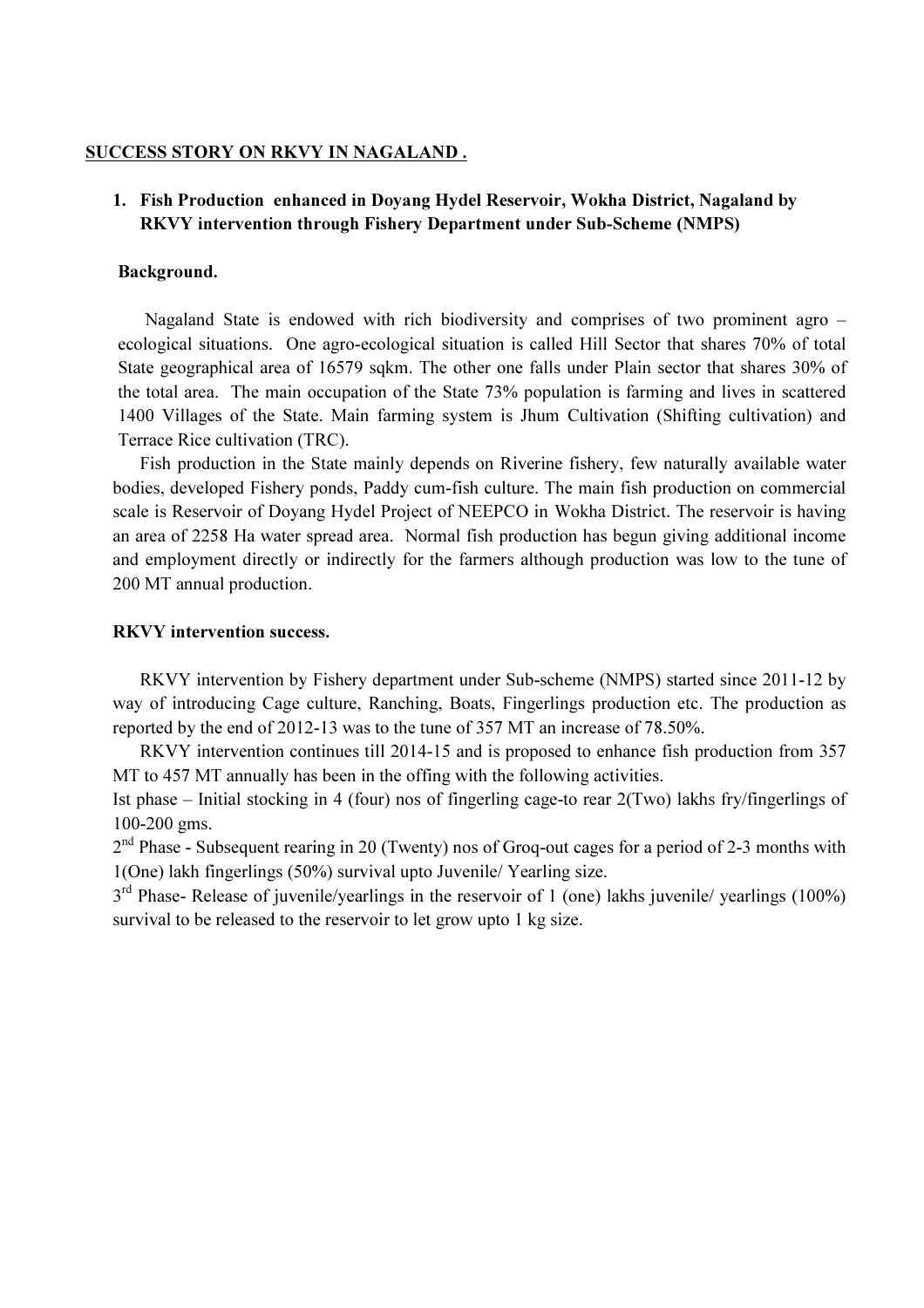# SUCCESS STORY ON RKVY IN NAGALAND .

# 1. Fish Production enhanced in Doyang Hydel Reservoir, Wokha District, Nagaland by RKVY intervention through Fishery Department under Sub-Scheme (NMPS)

### Background.

Nagaland State is endowed with rich biodiversity and comprises of two prominent agro – ecological situations. One agro-ecological situation is called Hill Sector that shares 70% of total State geographical area of 16579 sqkm. The other one falls under Plain sector that shares 30% of the total area. The main occupation of the State 73% population is farming and lives in scattered 1400 Villages of the State. Main farming system is Jhum Cultivation (Shifting cultivation) and Terrace Rice cultivation (TRC).

Fish production in the State mainly depends on Riverine fishery, few naturally available water bodies, developed Fishery ponds, Paddy cum-fish culture. The main fish production on commercial scale is Reservoir of Doyang Hydel Project of NEEPCO in Wokha District. The reservoir is having an area of 2258 Ha water spread area. Normal fish production has begun giving additional income and employment directly or indirectly for the farmers although production was low to the tune of 200 MT annual production.

#### RKVY intervention success.

RKVY intervention by Fishery department under Sub-scheme (NMPS) started since 2011-12 by way of introducing Cage culture, Ranching, Boats, Fingerlings production etc. The production as reported by the end of 2012-13 was to the tune of 357 MT an increase of 78.50%.

RKVY intervention continues till 2014-15 and is proposed to enhance fish production from 357 MT to 457 MT annually has been in the offing with the following activities.

Ist phase – Initial stocking in 4 (four) nos of fingerling cage-to rear 2(Two) lakhs fry/fingerlings of 100-200 gms.

2<sup>nd</sup> Phase - Subsequent rearing in 20 (Twenty) nos of Groq-out cages for a period of 2-3 months with 1(One) lakh fingerlings (50%) survival upto Juvenile/ Yearling size.

3<sup>rd</sup> Phase- Release of juvenile/yearlings in the reservoir of 1 (one) lakhs juvenile/ yearlings (100%) survival to be released to the reservoir to let grow upto 1 kg size.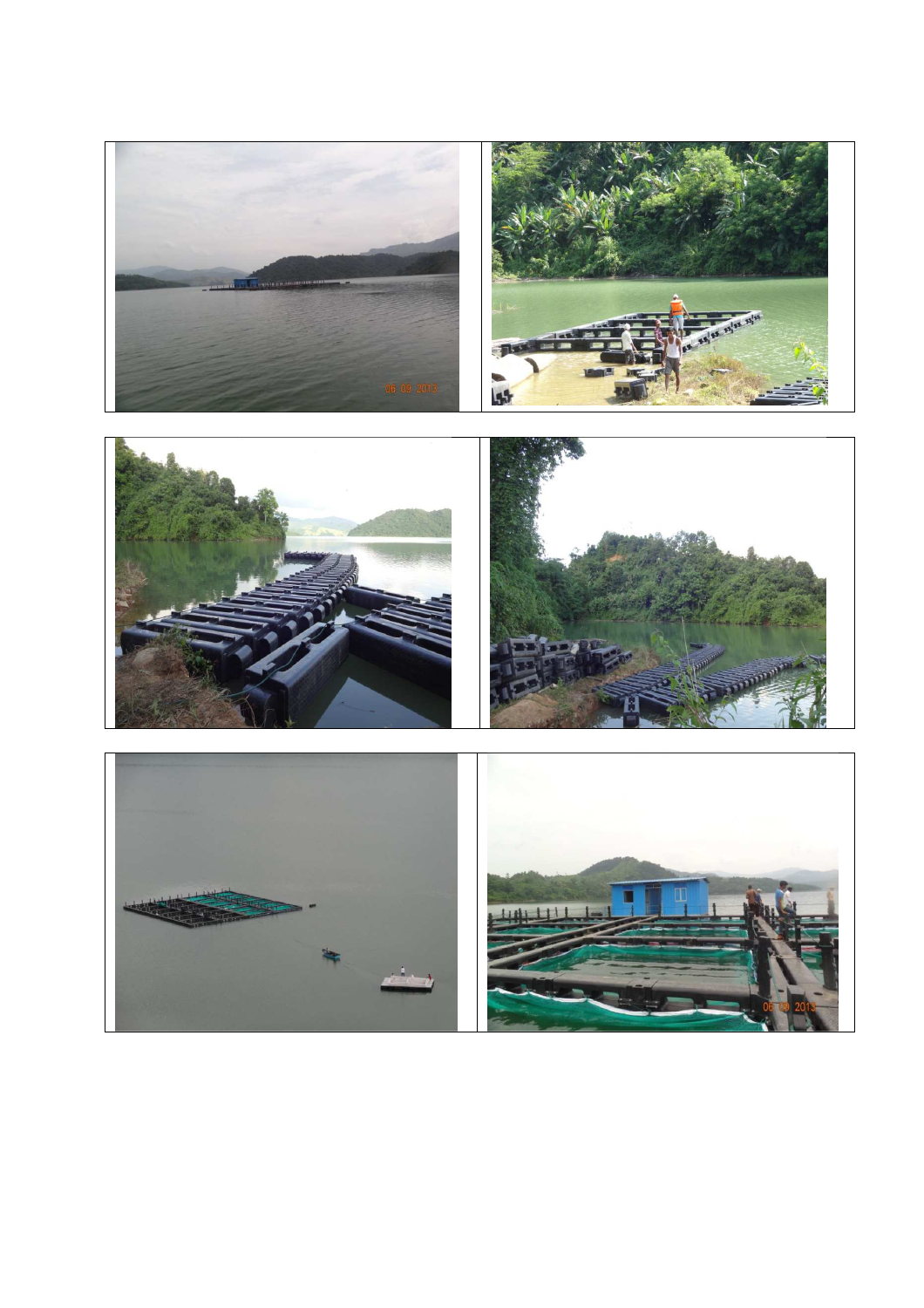